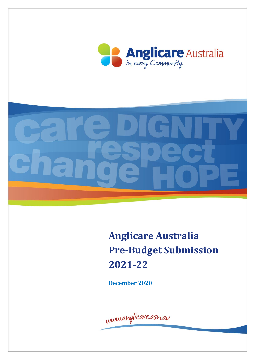



**Anglicare Australia Pre-Budget Submission 2021-22**

**December 2020**

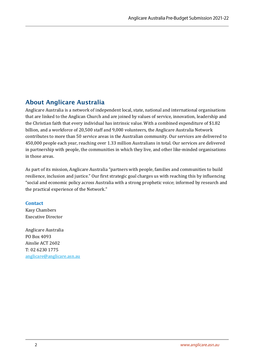## <span id="page-1-0"></span>About Anglicare Australia

Anglicare Australia is a network of independent local, state, national and international organisations that are linked to the Anglican Church and are joined by values of service, innovation, leadership and the Christian faith that every individual has intrinsic value. With a combined expenditure of \$1.82 billion, and a workforce of 20,500 staff and 9,000 volunteers, the Anglicare Australia Network contributes to more than 50 service areas in the Australian community. Our services are delivered to 450,000 people each year, reaching over 1.33 million Australians in total. Our services are delivered in partnership with people, the communities in which they live, and other like-minded organisations in those areas.

As part of its mission, Anglicare Australia "partners with people, families and communities to build resilience, inclusion and justice." Our first strategic goal charges us with reaching this by influencing "social and economic policy across Australia with a strong prophetic voice; informed by research and the practical experience of the Network."

### **Contact**

Kasy Chambers Executive Director

Anglicare Australia PO Box 4093 Ainslie ACT 2602 T: 02 6230 1775 [anglicare@anglicare.asn.au](mailto:anglicare@anglicare.asn.au)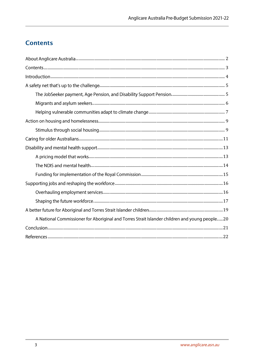# <span id="page-2-0"></span>**Contents**

| A National Commissioner for Aboriginal and Torres Strait Islander children and young people20 |
|-----------------------------------------------------------------------------------------------|
|                                                                                               |
|                                                                                               |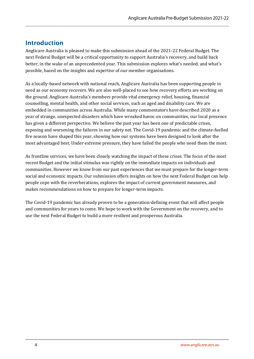## <span id="page-3-0"></span>Introduction

Anglicare Australia is pleased to make this submission ahead of the 2021-22 Federal Budget. The next Federal Budget will be a critical opportunity to support Australia's recovery, and build back better, in the wake of an unprecedented year. This submission explores what's needed, and what's possible, based on the insights and expertise of our member organisations.

As a locally-based network with national reach, Anglicare Australia has been supporting people in need as our economy recovers. We are also well-placed to see how recovery efforts are working on the ground. Anglicare Australia's members provide vital emergency relief, housing, financial counselling, mental health, and other social services, such as aged and disability care. We are embedded in communities across Australia. While many commentators have described 2020 as a year of strange, unexpected disasters which have wreaked havoc on communities, our local presence has given a different perspective. We believe the past year has been one of predictable crises, exposing and worsening the failures in our safety net. The Covid-19 pandemic and the climate-fuelled fire season have shaped this year, showing how our systems have been designed to look after the most advantaged best. Under extreme pressure, they have failed the people who need them the most.

As frontline services, we have been closely watching the impact of these crises. The focus of the most recent Budget and the initial stimulus was rightly on the immediate impacts on individuals and communities. However we know from our past experiences that we must prepare for the longer-term social and economic impacts. Our submission offers insights on how the next Federal Budget can help people cope with the reverberations, explores the impact of current government measures, and makes recommendations on how to prepare for longer-term impacts.

The Covid-19 pandemic has already proven to be a generation-defining event that will affect people and communities for years to come. We hope to work with the Government on the recovery, and to use the next Federal Budget to build a more resilient and prosperous Australia.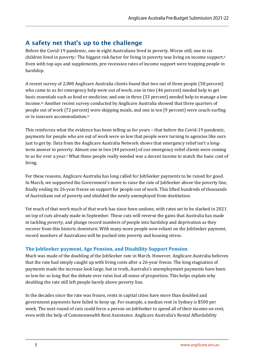## <span id="page-4-0"></span>A safety net that's up to the challenge

Before the Covid-19 pandemic, one in eight Australians lived in poverty. Worse still, one in six children lived in poverty.<sup>i</sup> The biggest risk factor for living in poverty was living on income support.<sup>ii</sup> Even with top-ups and supplements, pre-recession rates of income support were trapping people in hardship.

A recent survey of 2,000 Anglicare Australia clients found that two out of three people (58 percent) who came to us for emergency help were out of work; one in two (46 percent) needed help to get basic essentials such as food or medicine; and one in three (33 percent) needed help to manage a low income.iii Another recent survey conducted by Anglicare Australia showed that three quarters of people out of work (72 percent) were skipping meals, and one in ten (9 percent) were couch-surfing or in insecure accommodation.iv

This reinforces what the evidence has been telling us for years – that before the Covid-19 pandemic, payments for people who are out of work were so low that people were turning to agencies like ours just to get by. Data from the Anglicare Australia Network shows that emergency relief isn't a longterm answer to poverty. Almost one in two (44 percent) of our emergency relief clients were coming to us for over a year.<sup>v</sup> What these people really needed was a decent income to match the basic cost of living.

For these reasons, Anglicare Australia has long called for JobSeeker payments to be raised for good. In March, we supported the Government's move to raise the rate of JobSeeker above the poverty line, finally ending its 26-year freeze on support for people out of work. This lifted hundreds of thousands of Australians out of poverty and shielded the newly unemployed from destitution.

Yet much of that work much of that work has since been undone, with rates set to be slashed in 2021 on top of cuts already made in September. These cuts will reverse the gains that Australia has made in tackling poverty, and plunge record numbers of people into hardship and deprivation as they recover from this historic downturn. With many more people now reliant on the JobSeeker payment, record numbers of Australians will be pushed into poverty and housing stress.

## <span id="page-4-1"></span>**The JobSeeker payment, Age Pension, and Disability Support Pension**

Much was made of the doubling of the JobSeeker rate in March. However, Anglicare Australia believes that the rate had simply caught up with living costs after a 26-year freeze. The long stagnation of payments made the increase look large, but in truth, Australia's unemployment payments have been so low for so long that the debate over rates lost all sense of proportion. This helps explain why doubling the rate still left people barely above poverty line.

In the decades since the rate was frozen, rents in capital cities have more than doubled and government payments have failed to keep up. For example, a median rent in Sydney is \$500 per week. The next round of cuts could force a person on JobSeeker to spend all of their income on rent, even with the help of Commonwealth Rent Assistance. Anglicare Australia's Rental Affordability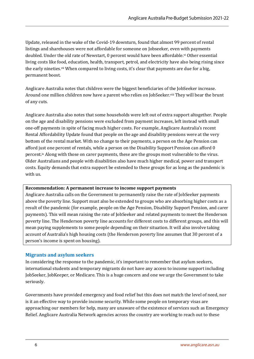Update, released in the wake of the Covid-19 downturn, found that almost 99 percent of rental listings and sharehouses were not affordable for someone on Jobseeker, even with payments doubled. Under the old rate of Newstart, 0 percent would have been affordable.<sup>vi</sup> Other essential living costs like food, education, health, transport, petrol, and electricity have also being rising since the early nineties.vii When compared to living costs, it's clear that payments are due for a big, permanent boost.

Anglicare Australia notes that children were the biggest beneficiaries of the JobSeeker increase. Around one million children now have a parent who relies on JobSeeker.viii They will bear the brunt of any cuts.

Anglicare Australia also notes that some households were left out of extra support altogether. People on the age and disability pensions were excluded from payment increases, left instead with small one-off payments in spite of facing much higher costs. For example, Anglicare Australia's recent Rental Affordability Update found that people on the age and disability pensions were at the very bottom of the rental market. With no change to their payments, a person on the Age Pension can afford just one percent of rentals, while a person on the Disability Support Pension can afford 0 percent.ix Along with those on carer payments, these are the groups most vulnerable to the virus. Older Australians and people with disabilities also have much higher medical, power and transport costs. Equity demands that extra support be extended to these groups for as long as the pandemic is with us.

#### **Recommendation: A permanent increase to income support payments**

Anglicare Australia calls on the Government to permanently raise the rate of JobSeeker payments above the poverty line. Support must also be extended to groups who are absorbing higher costs as a result of the pandemic (for example, people on the Age Pension, Disability Support Pension, and carer payments). This will mean raising the rate of JobSeeker and related payments to meet the Henderson poverty line. The Henderson poverty line accounts for different costs to different groups, and this will mean paying supplements to some people depending on their situation. It will also involve taking account of Australia's high housing costs (the Henderson poverty line assumes that 30 percent of a person's income is spent on housing).

#### <span id="page-5-0"></span>**Migrants and asylum seekers**

In considering the response to the pandemic, it's important to remember that asylum seekers, international students and temporary migrants do not have any access to income support including JobSeeker, JobKeeper, or Medicare. This is a huge concern and one we urge the Government to take seriously.

Governments have provided emergency and food relief but this does not match the level of need, nor is it an effective way to provide income security. While some people on temporary visas are approaching our members for help, many are unaware of the existence of services such as Emergency Relief. Anglicare Australia Network agencies across the country are working to reach out to these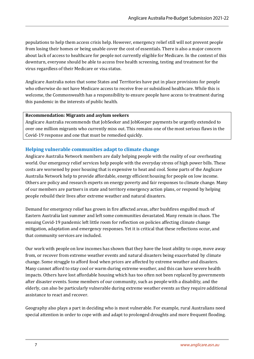populations to help them access crisis help. However, emergency relief still will not prevent people from losing their homes or being unable cover the cost of essentials. There is also a major concern about lack of access to healthcare for people not currently eligible for Medicare. In the context of this downturn, everyone should be able to access free health screening, testing and treatment for the virus regardless of their Medicare or visa status.

Anglicare Australia notes that some States and Territories have put in place provisions for people who otherwise do not have Medicare access to receive free or subsidised healthcare. While this is welcome, the Commonwealth has a responsibility to ensure people have access to treatment during this pandemic in the interests of public health.

#### **Recommendation: Migrants and asylum seekers**

Anglicare Australia recommends that JobSeeker and JobKeeper payments be urgently extended to over one million migrants who currently miss out. This remains one of the most serious flaws in the Covid-19 response and one that must be remedied quickly.

### <span id="page-6-0"></span>**Helping vulnerable communities adapt to climate change**

Anglicare Australia Network members are daily helping people with the reality of our overheating world. Our emergency relief services help people with the everyday stress of high power bills. These costs are worsened by poor housing that is expensive to heat and cool. Some parts of the Anglicare Australia Network help to provide affordable, energy efficient housing for people on low income. Others are policy and research experts on energy poverty and fair responses to climate change. Many of our members are partners in state and territory emergency action plans, or respond by helping people rebuild their lives after extreme weather and natural disasters.

Demand for emergency relief has grown in fire affected areas, after bushfires engulfed much of Eastern Australia last summer and left some communities devastated. Many remain in chaos. The ensuing Covid-19 pandemic left little room for reflection on policies affecting climate change mitigation, adaptation and emergency responses. Yet it is critical that these reflections occur, and that community services are included.

Our work with people on low incomes has shown that they have the least ability to cope, move away from, or recover from extreme weather events and natural disasters being exacerbated by climate change. Some struggle to afford food when prices are affected by extreme weather and disasters. Many cannot afford to stay cool or warm during extreme weather, and this can have severe health impacts. Others have lost affordable housing which has too often not been replaced by governments after disaster events. Some members of our community, such as people with a disability, and the elderly, can also be particularly vulnerable during extreme weather events as they require additional assistance to react and recover.

Geography also plays a part in deciding who is most vulnerable. For example, rural Australians need special attention in order to cope with and adapt to prolonged droughts and more frequent flooding.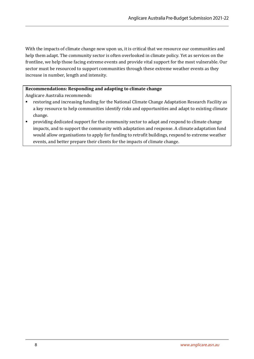With the impacts of climate change now upon us, it is critical that we resource our communities and help them adapt. The community sector is often overlooked in climate policy. Yet as services on the frontline, we help those facing extreme events and provide vital support for the most vulnerable. Our sector must be resourced to support communities through these extreme weather events as they increase in number, length and intensity.

### **Recommendations: Responding and adapting to climate change**

Anglicare Australia recommends:

- restoring and increasing funding for the National Climate Change Adaptation Research Facility as a key resource to help communities identify risks and opportunities and adapt to existing climate change.
- **•** providing dedicated support for the community sector to adapt and respond to climate change impacts, and to support the community with adaptation and response. A climate adaptation fund would allow organisations to apply for funding to retrofit buildings, respond to extreme weather events, and better prepare their clients for the impacts of climate change.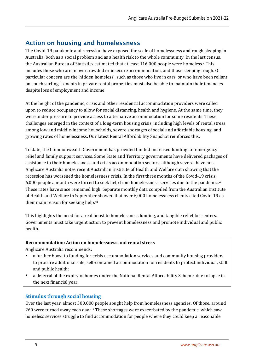## <span id="page-8-0"></span>Action on housing and homelessness

The Covid-19 pandemic and recession have exposed the scale of homelessness and rough sleeping in Australia, both as a social problem and as a health risk to the whole community. In the last census, the Australian Bureau of Statistics estimated that at least 116,000 people were homeless.<sup>x</sup> This includes those who are in overcrowded or insecure accommodation, and those sleeping rough. Of particular concern are the 'hidden homeless', such as those who live in cars, or who have been reliant on couch surfing. Tenants in private rental properties must also be able to maintain their tenancies despite loss of employment and income.

At the height of the pandemic, crisis and other residential accommodation providers were called upon to reduce occupancy to allow for social distancing, health and hygiene. At the same time, they were under pressure to provide access to alternative accommodation for some residents. These challenges emerged in the context of a long-term housing crisis, including high levels of rental stress among low and middle-income households, severe shortages of social and affordable housing, and growing rates of homelessness. Our latest Rental Affordability Snapshot reinforces this.

To date, the Commonwealth Government has provided limited increased funding for emergency relief and family support services. Some State and Territory governments have delivered packages of assistance to their homelessness and crisis accommodation sectors, although several have not. Anglicare Australia notes recent Australian Institute of Health and Welfare data showing that the recession has worsened the homelessness crisis. In the first three months of the Covid-19 crisis, 6,000 people a month were forced to seek help from homelessness services due to the pandemic. $x_i$ These rates have since remained high. Separate monthly data compiled from the Australian Institute of Health and Welfare in September showed that over 6,000 homelessness clients cited Covid-19 as their main reason for seeking help.xii

This highlights the need for a real boost to homelessness funding, and tangible relief for renters. Governments must take urgent action to prevent homelessness and promote individual and public health.

#### **Recommendation: Action on homelessness and rental stress**

Anglicare Australia recommends:

- **•** a further boost to funding for crisis accommodation services and community housing providers to procure additional safe, self-contained accommodation for residents to protect individual, staff and public health;
- a deferral of the expiry of homes under the National Rental Affordability Scheme, due to lapse in the next financial year.

### <span id="page-8-1"></span>**Stimulus through social housing**

Over the last year, almost 300,000 people sought help from homelessness agencies. Of those, around 260 were turned away each day.xiii These shortages were exacerbated by the pandemic, which saw homeless services struggle to find accommodation for people where they could keep a reasonable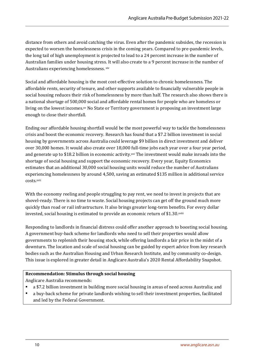distance from others and avoid catching the virus. Even after the pandemic subsides, the recession is expected to worsen the homelessness crisis in the coming years. Compared to pre-pandemic levels, the long tail of high unemployment is projected to lead to a 24 percent increase in the number of Australian families under housing stress. It will also create to a 9 percent increase in the number of Australians experiencing homelessness. xiv

Social and affordable housing is the most cost-effective solution to chronic homelessness. The affordable rents, security of tenure, and other supports available to financially vulnerable people in social housing reduces their risk of homelessness by more than half. The research also shows there is a national shortage of 500,000 social and affordable rental homes for people who are homeless or living on the lowest incomes.xv No State or Territory government is proposing an investment large enough to close their shortfall.

Ending our affordable housing shortfall would be the most powerful way to tackle the homelessness crisis and boost the economic recovery. Research has found that a \$7.2 billion investment in social housing by governments across Australia could leverage \$9 billion in direct investment and deliver over 30,000 homes. It would also create over 18,000 full-time jobs each year over a four year period, and generate up to \$18.2 billion in economic activity.<sup>xvi</sup> The investment would make inroads into the shortage of social housing and support the economic recovery. Every year, Equity Economics estimates that an additional 30,000 social housing units would reduce the number of Australians experiencing homelessness by around 4,500, saving an estimated \$135 million in additional service costs.xvii

With the economy reeling and people struggling to pay rent, we need to invest in projects that are shovel-ready. There is no time to waste. Social housing projects can get off the ground much more quickly than road or rail infrastructure. It also brings greater long-term benefits. For every dollar invested, social housing is estimated to provide an economic return of \$1.30.xviii

Responding to landlords in financial distress could offer another approach to boosting social housing. A government buy-back scheme for landlords who need to sell their properties would allow governments to replenish their housing stock, while offering landlords a fair price in the midst of a downturn. The location and scale of social housing can be guided by expert advice from key research bodies such as the Australian Housing and Urban Research Institute, and by community co-design. This issue is explored in greater detail in Anglicare Australia's 2020 Rental Affordability Snapshot.

#### **Recommendation: Stimulus through social housing**

Anglicare Australia recommends:

- a \$7.2 billion investment in building more social housing in areas of need across Australia; and
- a buy-back scheme for private landlords wishing to sell their investment properties, facilitated and led by the Federal Government.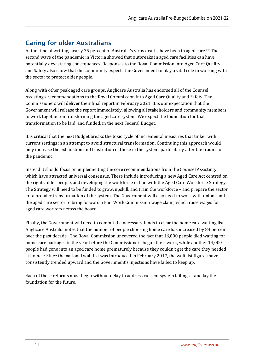## <span id="page-10-0"></span>Caring for older Australians

At the time of writing, nearly 75 percent of Australia's virus deaths have been in aged care. xix The second wave of the pandemic in Victoria showed that outbreaks in aged care facilities can have potentially devastating consequences. Responses to the Royal Commission into Aged Care Quality and Safety also show that the community expects the Government to play a vital role in working with the sector to protect older people.

Along with other peak aged care groups, Anglicare Australia has endorsed all of the Counsel Assisting's recommendations to the Royal Commission into Aged Care Quality and Safety. The Commissioners will deliver their final report in February 2021. It is our expectation that the Government will release the report immediately, allowing all stakeholders and community members to work together on transforming the aged care system. We expect the foundation for that transformation to be laid, and funded, in the next Federal Budget.

It is critical that the next Budget breaks the toxic cycle of incremental measures that tinker with current settings in an attempt to avoid structural transformation. Continuing this approach would only increase the exhaustion and frustration of those in the system, particularly after the trauma of the pandemic.

Instead it should focus on implementing the core recommendations from the Counsel Assisting, which have attracted universal consensus. These include introducing a new Aged Care Act centred on the rights older people, and developing the workforce in line with the Aged Care Workforce Strategy. The Strategy will need to be funded to grow, upskill, and train the workforce – and prepare the sector for a broader transformation of the system. The Government will also need to work with unions and the aged care sector to bring forward a Fair Work Commission wage claim, which raise wages for aged care workers across the board.

Finally, the Government will need to commit the necessary funds to clear the home care waiting list. Anglicare Australia notes that the number of people choosing home care has increased by 84 percent over the past decade. The Royal Commission uncovered the fact that 16,000 people died waiting for home care packages in the year before the Commissioners began their work, while another 14,000 people had gone into an aged care home prematurely because they couldn't get the care they needed at home.xx Since the national wait list was introduced in February 2017, the wait list figures have consistently trended upward and the Government's injections have failed to keep up.

Each of these reforms must begin without delay to address current system failings – and lay the foundation for the future.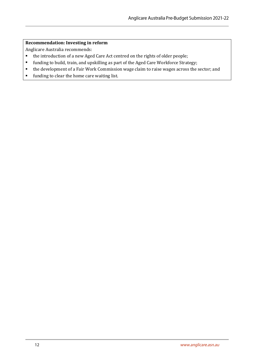#### **Recommendation: Investing in reform**

Anglicare Australia recommends:

- the introduction of a new Aged Care Act centred on the rights of older people;
- funding to build, train, and upskilling as part of the Aged Care Workforce Strategy;
- the development of a Fair Work Commission wage claim to raise wages across the sector; and
- funding to clear the home care waiting list.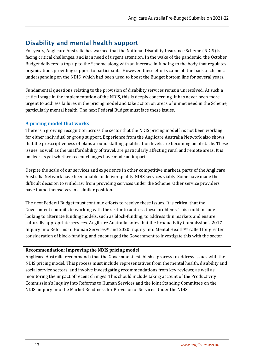## <span id="page-12-0"></span>Disability and mental health support

For years, Anglicare Australia has warned that the National Disability Insurance Scheme (NDIS) is facing critical challenges, and is in need of urgent attention. In the wake of the pandemic, the October Budget delivered a top-up to the Scheme along with an increase in funding to the body that regulates organisations providing support to participants. However, these efforts came off the back of chronic underspending on the NDIS, which had been used to boost the Budget bottom line for several years.

Fundamental questions relating to the provision of disability services remain unresolved. At such a critical stage in the implementation of the NDIS, this is deeply concerning. It has never been more urgent to address failures in the pricing model and take action on areas of unmet need in the Scheme, particularly mental health. The next Federal Budget must face these issues.

## <span id="page-12-1"></span>**A pricing model that works**

There is a growing recognition across the sector that the NDIS pricing model has not been working for either individual or group support. Experience from the Anglicare Australia Network also shows that the prescriptiveness of plans around staffing qualification levels are becoming an obstacle. These issues, as well as the unaffordability of travel, are particularly affecting rural and remote areas. It is unclear as yet whether recent changes have made an impact.

Despite the scale of our services and experience in other competitive markets, parts of the Anglicare Australia Network have been unable to deliver quality NDIS services viably. Some have made the difficult decision to withdraw from providing services under the Scheme. Other service providers have found themselves in a similar position.

The next Federal Budget must continue efforts to resolve these issues. It is critical that the Government commits to working with the sector to address these problems. This could include looking to alternate funding models, such as block-funding, to address thin markets and ensure culturally appropriate services. Anglicare Australia notes that the Productivity Commission's 2017 Inquiry into Reforms to Human Services<sup>xxi</sup> and 2020 Inquiry into Mental Health<sup>xxii</sup> called for greater consideration of block-funding, and encouraged the Government to investigate this with the sector.

### **Recommendation: Improving the NDIS pricing model**

<span id="page-12-2"></span>Anglicare Australia recommends that the Government establish a process to address issues with the NDIS pricing model. This process must include representatives from the mental health, disability and social service sectors, and involve investigating recommendations from key reviews; as well as monitoring the impact of recent changes. This should include taking account of the Productivity Commission's Inquiry into Reforms to Human Services and the Joint Standing Committee on the NDIS' inquiry into the Market Readiness for Provision of Services Under the NDIS.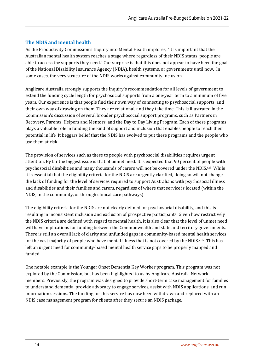### **The NDIS and mental health**

As the Productivity Commission's Inquiry into Mental Health implores, "it is important that the Australian mental health system reaches a stage where regardless of their NDIS status, people are able to access the supports they need." Our surprise is that this does not appear to have been the goal of the National Disability Insurance Agency (NDIA), health systems, or governments until now. In some cases, the very structure of the NDIS works against community inclusion.

Anglicare Australia strongly supports the Inquiry's recommendation for all levels of government to extend the funding cycle length for psychosocial supports from a one-year term to a minimum of five years. Our experience is that people find their own way of connecting to psychosocial supports, and their own way of drawing on them. They are relational, and they take time. This is illustrated in the Commission's discussion of several broader psychosocial support programs, such as Partners in Recovery, Parents, Helpers and Mentors, and the Day to Day Living Program. Each of these programs plays a valuable role in funding the kind of support and inclusion that enables people to reach their potential in life. It beggars belief that the NDIS has evolved to put these programs and the people who use them at risk.

The provision of services such as these to people with psychosocial disabilities requires urgent attention. By far the biggest issue is that of unmet need. It is expected that 90 percent of people with psychosocial disabilities and many thousands of carers will not be covered under the NDIS.<sup>xxiii</sup> While it is essential that the eligibility criteria for the NDIS are urgently clarified, doing so will not change the lack of funding for the level of services required to support Australians with psychosocial illness and disabilities and their families and carers, regardless of where that service is located (within the NDIS, in the community, or through clinical care pathways).

The eligibility criteria for the NDIS are not clearly defined for psychosocial disability, and this is resulting in inconsistent inclusion and exclusion of prospective participants. Given how restrictively the NDIS criteria are defined with regard to mental health, it is also clear that the level of unmet need will have implications for funding between the Commonwealth and state and territory governments. There is still an overall lack of clarity and unfunded gaps in community-based mental health services for the vast majority of people who have mental illness that is not covered by the NDIS.xxiv This has left an urgent need for community-based mental health service gaps to be properly mapped and funded.

One notable example is the Younger Onset Dementia Key Worker program. This program was not explored by the Commission, but has been highlighted to us by Anglicare Australia Network members. Previously, the program was designed to provide short-term case management for families to understand dementia, provide advocacy to engage services, assist with NDIS applications, and run information sessions. The funding for this service has now been withdrawn and replaced with an NDIS case management program for clients after they secure an NDIS package.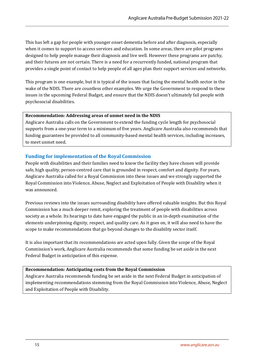This has left a gap for people with younger onset dementia before and after diagnosis, especially when it comes to support to access services and education. In some areas, there are pilot programs designed to help people manage their diagnosis and live well. However these programs are patchy, and their futures are not certain. There is a need for a recurrently funded, national program that provides a single point of contact to help people of all ages plan their support services and networks.

This program is one example, but it is typical of the issues that facing the mental health sector in the wake of the NDIS. There are countless other examples. We urge the Government to respond to these issues in the upcoming Federal Budget, and ensure that the NDIS doesn't ultimately fail people with psychosocial disabilities.

#### **Recommendation: Addressing areas of unmet need in the NDIS**

Anglicare Australia calls on the Government to extend the funding cycle length for psychosocial supports from a one-year term to a minimum of five years. Anglicare Australia also recommends that funding guarantees be provided to all community-based mental health services, including increases, to meet unmet need.

### <span id="page-14-0"></span>**Funding for implementation of the Royal Commission**

People with disabilities and their families need to know the facility they have chosen will provide safe, high quality, person-centred care that is grounded in respect, comfort and dignity. For years, Anglicare Australia called for a Royal Commission into these issues and we strongly supported the Royal Commission into Violence, Abuse, Neglect and Exploitation of People with Disability when it was announced.

Previous reviews into the issues surrounding disability have offered valuable insights. But this Royal Commission has a much deeper remit, exploring the treatment of people with disabilities across society as a whole. Its hearings to date have engaged the public in an in-depth examination of the elements underpinning dignity, respect, and quality care. As it goes on, it will also need to have the scope to make recommendations that go beyond changes to the disability sector itself.

It is also important that its recommendations are acted upon fully. Given the scope of the Royal Commission's work, Anglicare Australia recommends that some funding be set aside in the next Federal Budget in anticipation of this expense.

#### **Recommendation: Anticipating costs from the Royal Commission**

Anglicare Australia recommends funding be set aside in the next Federal Budget in anticipation of implementing recommendations stemming from the Royal Commission into Violence, Abuse, Neglect and Exploitation of People with Disability.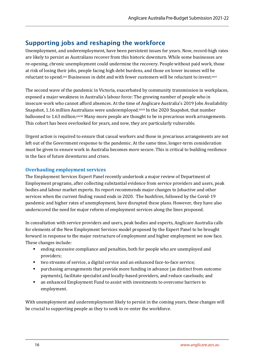## <span id="page-15-0"></span>Supporting jobs and reshaping the workforce

Unemployment, and underemployment, have been persistent issues for years. Now, record-high rates are likely to persist as Australians recover from this historic downturn. While some businesses are re-opening, chronic unemployment could undermine the recovery. People without paid work, those at risk of losing their jobs, people facing high debt burdens, and those on lower incomes will be reluctant to spend.xxv Businesses in debt and with fewer customers will be reluctant to invest.xxvi

The second wave of the pandemic in Victoria, exacerbated by community transmission in workplaces, exposed a major weakness in Australia's labour force: The growing number of people who in insecure work who cannot afford absences. At the time of Anglicare Australia's 2019 Jobs Availability Snapshot, 1.16 million Australians were underemployed.xxvii In the 2020 Snapshot, that number ballooned to 1.63 million.<sup>xxviii</sup> Many more people are thought to be in precarious work arrangements. This cohort has been overlooked for years, and now, they are particularly vulnerable.

Urgent action is required to ensure that casual workers and those in precarious arrangements are not left out of the Government response to the pandemic. At the same time, longer-term consideration must be given to ensure work in Australia becomes more secure. This is critical to building resilience in the face of future downturns and crises.

## <span id="page-15-1"></span>**Overhauling employment services**

The Employment Services Expert Panel recently undertook a major review of Department of Employment programs, after collecting substantial evidence from service providers and users, peak bodies and labour market experts. Its report recommends major changes to Jobactive and other services when the current finding round ends in 2020. The bushfires, followed by the Covid-19 pandemic and higher rates of unemployment, have disrupted these plans. However, they have also underscored the need for major reform of employment services along the lines proposed.

In consultation with service providers and users, peak bodies and experts, Anglicare Australia calls for elements of the New Employment Services model proposed by the Expert Panel to be brought forward in response to the major restructure of employment and higher employment we now face. These changes include:

- ending excessive compliance and penalties, both for people who are unemployed and providers;
- two streams of service, a digital service and an enhanced face-to-face service;
- purchasing arrangements that provide more funding in advance (as distinct from outcome payments), facilitate specialist and locally-based providers, and reduce caseloads; and
- an enhanced Employment Fund to assist with investments to overcome barriers to employment.

With unemployment and underemployment likely to persist in the coming years, these changes will be crucial to supporting people as they to seek to re-enter the workforce.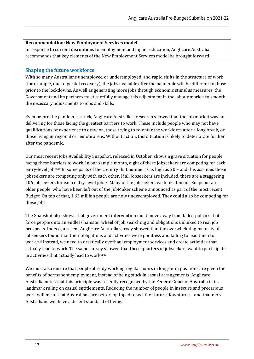#### **Recommendation: New Employment Services model**

In response to current disruptions to employment and higher education, Anglicare Australia recommends that key elements of the New Employment Services model be brought forward.

#### <span id="page-16-0"></span>**Shaping the future workforce**

With so many Australians unemployed or underemployed, and rapid shifts in the structure of work (for example, due to partial recovery), the jobs available after the pandemic will be different to those prior to the lockdowns. As well as generating more jobs through economic stimulus measures, the Government and its partners must carefully manage this adjustment in the labour market to smooth the necessary adjustments to jobs and skills.

Even before the pandemic struck, Anglicare Australia's research showed that the job market was not delivering for those facing the greatest barriers to work. These include people who may not have qualifications or experience to draw on, those trying to re-enter the workforce after a long break, or those living in regional or remote areas. Without action, this situation is likely to deteriorate further after the pandemic.

Our most recent Jobs Availability Snapshot, released in October, shows a grave situation for people facing these barriers to work. In our sample month, eight of these jobseekers are competing for each entry-level job. $x$  In some parts of the country that number is as high as  $20$  – and this assumes those jobseekers are competing only with each other. If all jobseekers are included, there are a staggering 106 jobseekers for each entry-level job.xxx Many of the jobseekers we look at in our Snapshot are older people, who have been left out of the JobMaker scheme announced as part of the most recent Budget. On top of that, 1.63 million people are now underemployed. They could also be competing for these jobs.

The Snapshot also shows that government intervention must move away from failed policies that force people onto an endless hamster wheel of job searching and obligations unlinked to real job prospects. Indeed, a recent Anglicare Australia survey showed that the overwhelming majority of jobseekers found that their obligations and activities were pointless and failing to lead them to work.xxxi Instead, we need to drastically overhaul employment services and create activities that actually lead to work. The same survey showed that three quarters of jobseekers want to participate in activities that actually lead to work.xxxii

We must also ensure that people already working regular hours in long-term positions are given the benefits of permanent employment, instead of being stuck in casual arrangements. Anglicare Australia notes that this principle was recently recognised by the Federal Court of Australia in its landmark ruling on casual entitlements. Reducing the number of people in insecure and precarious work will mean that Australians are better equipped to weather future downturns – and that more Australians will have a decent standard of living.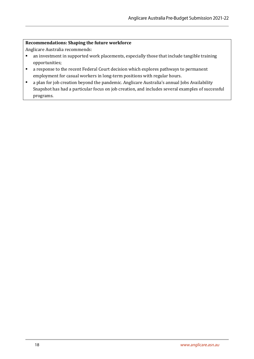#### **Recommendations: Shaping the future workforce**

Anglicare Australia recommends:

- an investment in supported work placements, especially those that include tangible training opportunities;
- a response to the recent Federal Court decision which explores pathways to permanent employment for casual workers in long-term positions with regular hours.
- a plan for job creation beyond the pandemic. Anglicare Australia's annual Jobs Availability Snapshot has had a particular focus on job creation, and includes several examples of successful programs.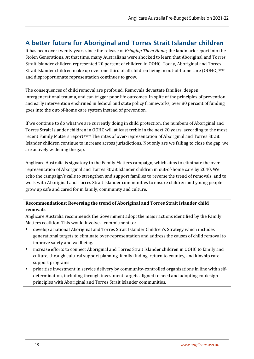## <span id="page-18-0"></span>A better future for Aboriginal and Torres Strait Islander children

It has been over twenty years since the release of *Bringing Them Home*, the landmark report into the Stolen Generations. At that time, many Australians were shocked to learn that Aboriginal and Torres Strait Islander children represented 20 percent of children in OOHC. Today, Aboriginal and Torres Strait Islander children make up over one third of all children living in out-of-home care (OOHC), xxxiii and disproportionate representation continues to grow.

The consequences of child removal are profound. Removals devastate families, deepen intergenerational trauma, and can trigger poor life outcomes. In spite of the principles of prevention and early intervention enshrined in federal and state policy frameworks, over 80 percent of funding goes into the out-of-home care system instead of prevention.

If we continue to do what we are currently doing in child protection, the numbers of Aboriginal and Torres Strait Islander children in OOHC will at least treble in the next 20 years, according to the most recent Family Matters report.xxxiv The rates of over-representation of Aboriginal and Torres Strait Islander children continue to increase across jurisdictions. Not only are we failing to close the gap, we are actively widening the gap.

Anglicare Australia is signatory to the Family Matters campaign, which aims to eliminate the overrepresentation of Aboriginal and Torres Strait Islander children in out-of-home care by 2040. We echo the campaign's calls to strengthen and support families to reverse the trend of removals, and to work with Aboriginal and Torres Strait Islander communities to ensure children and young people grow up safe and cared for in family, community and culture.

### **Recommendations: Reversing the trend of Aboriginal and Torres Strait Islander child removals**

Anglicare Australia recommends the Government adopt the major actions identified by the Family Matters coalition. This would involve a commitment to:

- develop a national Aboriginal and Torres Strait Islander Children's Strategy which includes generational targets to eliminate over-representation and address the causes of child removal to improve safety and wellbeing.
- increase efforts to connect Aboriginal and Torres Strait Islander children in OOHC to family and culture, through cultural support planning, family finding, return to country, and kinship care support programs.
- prioritise investment in service delivery by community-controlled organisations in line with selfdetermination, including through investment targets aligned to need and adopting co-design principles with Aboriginal and Torres Strait Islander communities.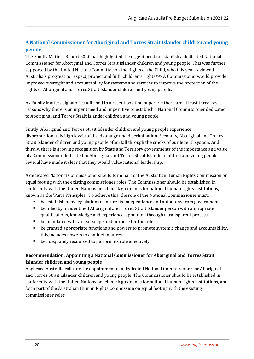## <span id="page-19-0"></span>**A National Commissioner for Aboriginal and Torres Strait Islander children and young people**

The Family Matters Report 2020 has highlighted the urgent need to establish a dedicated National Commissioner for Aboriginal and Torres Strait Islander children and young people. This was further supported by the United Nations Committee on the Rights of the Child, who this year reviewed Australia's progress to respect, protect and fulfil children's rights.xxxv A Commissioner would provide improved oversight and accountability for systems and services to improve the protection of the rights of Aboriginal and Torres Strait Islander children and young people.

As Family Matters signatories affirmed in a recent position paper, xxxvi there are at least three key reasons why there is an urgent need and imperative to establish a National Commissioner dedicated to Aboriginal and Torres Strait Islander children and young people.

Firstly, Aboriginal and Torres Strait Islander children and young people experience disproportionately high levels of disadvantage and discrimination. Secondly, Aboriginal and Torres Strait Islander children and young people often fall through the cracks of our federal system. And thirdly, there is growing recognition by State and Territory governments of the importance and value of a Commissioner dedicated to Aboriginal and Torres Strait Islander children and young people. Several have made it clear that they would value national leadership.

A dedicated National Commissioner should form part of the Australian Human Rights Commission on equal footing with the existing commissioner roles. The Commissioner should be established in conformity with the United Nations benchmark guidelines for national human rights institutions, known as the 'Paris Principles.' To achieve this, the role of the National Commissioner must:

- be established by legislation to ensure its independence and autonomy from government
- be filled by an identified Aboriginal and Torres Strait Islander person with appropriate qualifications, knowledge and experience, appointed through a transparent process
- be mandated with a clear scope and purpose for the role
- be granted appropriate functions and powers to promote systemic change and accountability, this includes powers to conduct inquires
- be adequately resourced to perform its role effectively.

### **Recommendation: Appointing a National Commissioner for Aboriginal and Torres Strait Islander children and young people**

Anglicare Australia calls for the appointment of a dedicated National Commissioner for Aboriginal and Torres Strait Islander children and young people. The Commissioner should be established in conformity with the United Nations benchmark guidelines for national human rights institutions, and form part of the Australian Human Rights Commission on equal footing with the existing commissioner roles.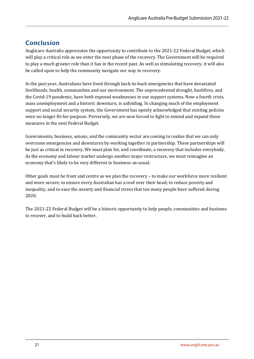## <span id="page-20-0"></span>Conclusion

Anglicare Australia appreciates the opportunity to contribute to the 2021-22 Federal Budget, which will play a critical role as we enter the next phase of the recovery. The Government will be required to play a much greater role than it has in the recent past. As well as stimulating recovery, it will also be called upon to help the community navigate our way to recovery.

In the past year, Australians have lived through back-to-back emergencies that have devastated livelihoods, health, communities and our environment. The unprecedented drought, bushfires, and the Covid-19 pandemic, have both exposed weaknesses in our support systems. Now a fourth crisis, mass unemployment and a historic downturn, is unfolding. In changing much of the employment support and social security system, the Government has openly acknowledged that existing policies were no longer fit-for-purpose. Perversely, we are now forced to fight to extend and expand these measures in the next Federal Budget.

Governments, business, unions, and the community sector are coming to realise that we can only overcome emergencies and downturns by working together in partnership. These partnerships will be just as critical in recovery. We must plan for, and coordinate, a recovery that includes everybody. As the economy and labour market undergo another major restructure, we must reimagine an economy that's likely to be very different to business-as-usual.

Other goals must be front and centre as we plan the recovery – to make our workforce more resilient and more secure; to ensure every Australian has a roof over their head; to reduce poverty and inequality, and to ease the anxiety and financial stress that too many people have suffered during 2020.

The 2021-22 Federal Budget will be a historic opportunity to help people, communities and business to recover, and to build back better.